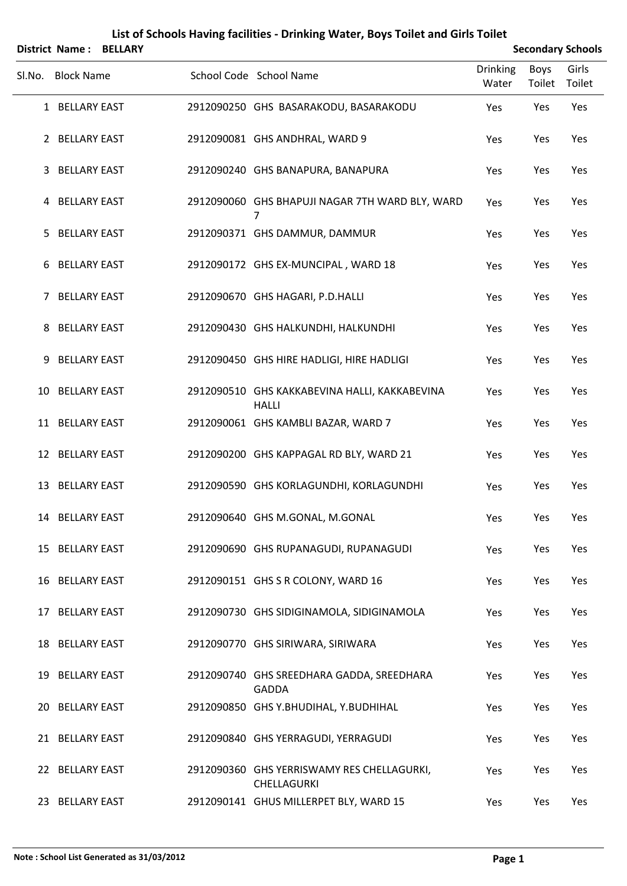|        |                     | District Name: BELLARY |                                                               |                          |                | <b>Secondary Schools</b> |
|--------|---------------------|------------------------|---------------------------------------------------------------|--------------------------|----------------|--------------------------|
| SI.No. | <b>Block Name</b>   |                        | School Code School Name                                       | <b>Drinking</b><br>Water | Boys<br>Toilet | Girls<br>Toilet          |
|        | 1 BELLARY EAST      |                        | 2912090250 GHS BASARAKODU, BASARAKODU                         | Yes                      | Yes            | Yes                      |
|        | 2 BELLARY EAST      |                        | 2912090081 GHS ANDHRAL, WARD 9                                | Yes                      | Yes            | Yes                      |
| 3      | <b>BELLARY EAST</b> |                        | 2912090240 GHS BANAPURA, BANAPURA                             | Yes                      | Yes            | Yes                      |
|        | 4 BELLARY EAST      |                        | 2912090060 GHS BHAPUJI NAGAR 7TH WARD BLY, WARD<br>7          | Yes                      | Yes            | Yes                      |
| 5.     | <b>BELLARY EAST</b> |                        | 2912090371 GHS DAMMUR, DAMMUR                                 | Yes                      | Yes            | Yes                      |
|        | 6 BELLARY EAST      |                        | 2912090172 GHS EX-MUNCIPAL, WARD 18                           | Yes                      | Yes            | Yes                      |
| 7      | <b>BELLARY EAST</b> |                        | 2912090670 GHS HAGARI, P.D.HALLI                              | Yes                      | Yes            | Yes                      |
| 8      | <b>BELLARY EAST</b> |                        | 2912090430 GHS HALKUNDHI, HALKUNDHI                           | Yes                      | Yes            | Yes                      |
| 9      | <b>BELLARY EAST</b> |                        | 2912090450 GHS HIRE HADLIGI, HIRE HADLIGI                     | Yes                      | Yes            | Yes                      |
|        | 10 BELLARY EAST     |                        | 2912090510 GHS KAKKABEVINA HALLI, KAKKABEVINA<br><b>HALLI</b> | Yes                      | Yes            | Yes                      |
|        | 11 BELLARY EAST     |                        | 2912090061 GHS KAMBLI BAZAR, WARD 7                           | Yes                      | Yes            | Yes                      |
|        | 12 BELLARY EAST     |                        | 2912090200 GHS KAPPAGAL RD BLY, WARD 21                       | Yes                      | Yes            | Yes                      |
|        | 13 BELLARY EAST     |                        | 2912090590 GHS KORLAGUNDHI, KORLAGUNDHI                       | Yes                      | Yes            | Yes                      |
|        | 14 BELLARY EAST     |                        | 2912090640 GHS M.GONAL, M.GONAL                               | Yes                      | Yes            | Yes                      |
|        | 15 BELLARY EAST     |                        | 2912090690 GHS RUPANAGUDI, RUPANAGUDI                         | Yes                      | Yes            | Yes                      |
|        | 16 BELLARY EAST     |                        | 2912090151 GHS S R COLONY, WARD 16                            | Yes                      | Yes            | Yes                      |
|        | 17 BELLARY EAST     |                        | 2912090730 GHS SIDIGINAMOLA, SIDIGINAMOLA                     | Yes                      | Yes            | Yes                      |
|        | 18 BELLARY EAST     |                        | 2912090770 GHS SIRIWARA, SIRIWARA                             | Yes                      | Yes            | Yes                      |
|        | 19 BELLARY EAST     |                        | 2912090740 GHS SREEDHARA GADDA, SREEDHARA<br><b>GADDA</b>     | Yes                      | Yes            | Yes                      |
|        | 20 BELLARY EAST     |                        | 2912090850 GHS Y.BHUDIHAL, Y.BUDHIHAL                         | Yes                      | Yes            | Yes                      |
|        | 21 BELLARY EAST     |                        | 2912090840 GHS YERRAGUDI, YERRAGUDI                           | Yes                      | Yes            | Yes                      |
|        | 22 BELLARY EAST     |                        | 2912090360 GHS YERRISWAMY RES CHELLAGURKI,<br>CHELLAGURKI     | Yes                      | Yes            | Yes                      |
|        | 23 BELLARY EAST     |                        | 2912090141 GHUS MILLERPET BLY, WARD 15                        | Yes                      | Yes            | Yes                      |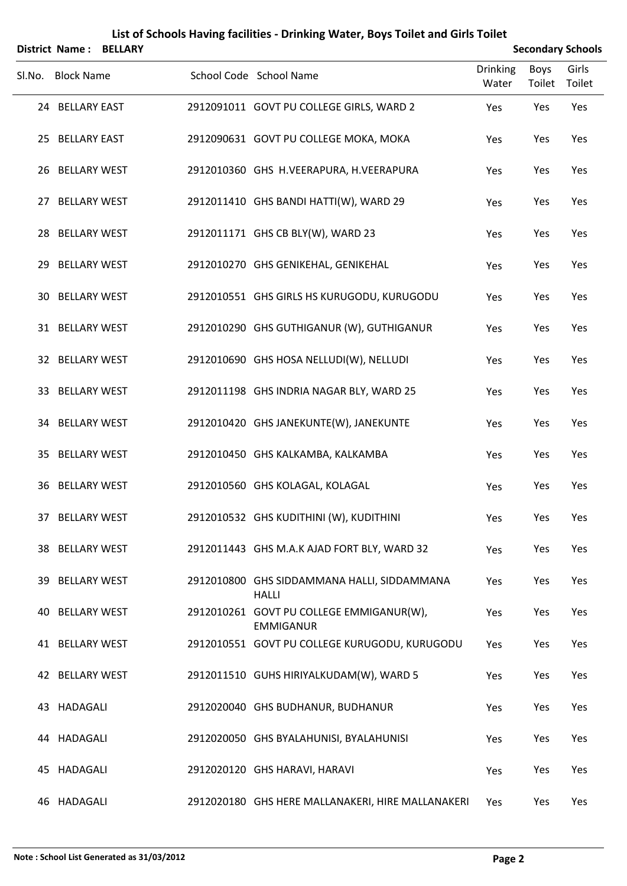|    | <b>District Name:</b> | <b>BELLARY</b> |                                                              |                          |                       | <b>Secondary Schools</b> |
|----|-----------------------|----------------|--------------------------------------------------------------|--------------------------|-----------------------|--------------------------|
|    | Sl.No. Block Name     |                | School Code School Name                                      | <b>Drinking</b><br>Water | <b>Boys</b><br>Toilet | Girls<br>Toilet          |
|    | 24 BELLARY EAST       |                | 2912091011 GOVT PU COLLEGE GIRLS, WARD 2                     | Yes                      | Yes                   | Yes                      |
|    | 25 BELLARY EAST       |                | 2912090631 GOVT PU COLLEGE MOKA, MOKA                        | Yes                      | Yes                   | Yes                      |
|    | 26 BELLARY WEST       |                | 2912010360 GHS H.VEERAPURA, H.VEERAPURA                      | Yes                      | Yes                   | Yes                      |
|    | 27 BELLARY WEST       |                | 2912011410 GHS BANDI HATTI(W), WARD 29                       | Yes                      | Yes                   | Yes                      |
| 28 | <b>BELLARY WEST</b>   |                | 2912011171 GHS CB BLY(W), WARD 23                            | Yes                      | Yes                   | Yes                      |
|    | 29 BELLARY WEST       |                | 2912010270 GHS GENIKEHAL, GENIKEHAL                          | Yes                      | Yes                   | Yes                      |
| 30 | <b>BELLARY WEST</b>   |                | 2912010551 GHS GIRLS HS KURUGODU, KURUGODU                   | Yes                      | Yes                   | Yes                      |
|    | 31 BELLARY WEST       |                | 2912010290 GHS GUTHIGANUR (W), GUTHIGANUR                    | Yes                      | Yes                   | Yes                      |
|    | 32 BELLARY WEST       |                | 2912010690 GHS HOSA NELLUDI(W), NELLUDI                      | Yes                      | Yes                   | Yes                      |
|    | 33 BELLARY WEST       |                | 2912011198 GHS INDRIA NAGAR BLY, WARD 25                     | Yes                      | Yes                   | Yes                      |
| 34 | <b>BELLARY WEST</b>   |                | 2912010420 GHS JANEKUNTE(W), JANEKUNTE                       | Yes                      | Yes                   | Yes                      |
|    | 35 BELLARY WEST       |                | 2912010450 GHS KALKAMBA, KALKAMBA                            | Yes                      | Yes                   | Yes                      |
|    | 36 BELLARY WEST       |                | 2912010560 GHS KOLAGAL, KOLAGAL                              | Yes                      | Yes                   | Yes                      |
|    | 37 BELLARY WEST       |                | 2912010532 GHS KUDITHINI (W), KUDITHINI                      | Yes                      | Yes                   | Yes                      |
|    | 38 BELLARY WEST       |                | 2912011443 GHS M.A.K AJAD FORT BLY, WARD 32                  | Yes                      | Yes                   | Yes                      |
|    | 39 BELLARY WEST       |                | 2912010800 GHS SIDDAMMANA HALLI, SIDDAMMANA<br><b>HALLI</b>  | Yes                      | Yes                   | Yes                      |
|    | 40 BELLARY WEST       |                | 2912010261 GOVT PU COLLEGE EMMIGANUR(W),<br><b>EMMIGANUR</b> | Yes                      | Yes                   | Yes                      |
|    | 41 BELLARY WEST       |                | 2912010551 GOVT PU COLLEGE KURUGODU, KURUGODU                | Yes                      | Yes                   | Yes                      |
|    | 42 BELLARY WEST       |                | 2912011510 GUHS HIRIYALKUDAM(W), WARD 5                      | Yes                      | Yes                   | Yes                      |
|    | 43 HADAGALI           |                | 2912020040 GHS BUDHANUR, BUDHANUR                            | Yes                      | Yes                   | Yes                      |
|    | 44 HADAGALI           |                | 2912020050 GHS BYALAHUNISI, BYALAHUNISI                      | Yes                      | Yes                   | Yes                      |
| 45 | HADAGALI              |                | 2912020120 GHS HARAVI, HARAVI                                | Yes                      | Yes                   | Yes                      |
|    | 46 HADAGALI           |                | 2912020180 GHS HERE MALLANAKERI, HIRE MALLANAKERI            | Yes                      | Yes                   | Yes                      |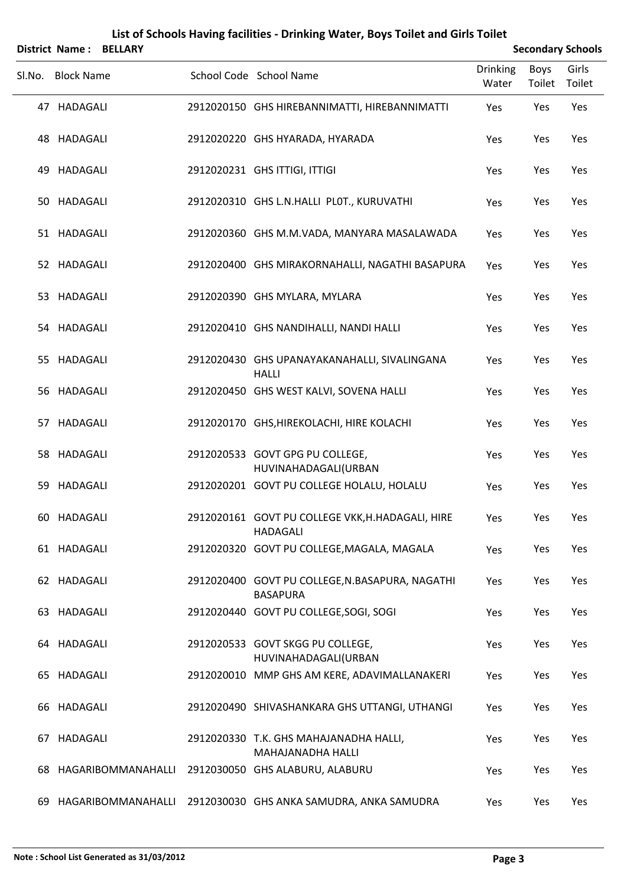|    | List of Schools Having facilities - Drinking Water, Boys Toilet and Girls Toilet |                       |  |                                                                      |                          |                |                          |  |  |  |
|----|----------------------------------------------------------------------------------|-----------------------|--|----------------------------------------------------------------------|--------------------------|----------------|--------------------------|--|--|--|
|    | <b>District Name:</b>                                                            | <b>BELLARY</b>        |  |                                                                      |                          |                | <b>Secondary Schools</b> |  |  |  |
|    | Sl.No. Block Name                                                                |                       |  | School Code School Name                                              | <b>Drinking</b><br>Water | Boys<br>Toilet | Girls<br>Toilet          |  |  |  |
|    | 47 HADAGALI                                                                      |                       |  | 2912020150 GHS HIREBANNIMATTI, HIREBANNIMATTI                        | Yes                      | Yes            | Yes                      |  |  |  |
|    | 48 HADAGALI                                                                      |                       |  | 2912020220 GHS HYARADA, HYARADA                                      | Yes                      | Yes            | Yes                      |  |  |  |
| 49 | HADAGALI                                                                         |                       |  | 2912020231 GHS ITTIGI, ITTIGI                                        | Yes                      | Yes            | Yes                      |  |  |  |
|    | 50 HADAGALI                                                                      |                       |  | 2912020310 GHS L.N.HALLI PLOT., KURUVATHI                            | Yes                      | Yes            | Yes                      |  |  |  |
|    | 51 HADAGALI                                                                      |                       |  | 2912020360 GHS M.M.VADA, MANYARA MASALAWADA                          | Yes                      | Yes            | Yes                      |  |  |  |
|    | 52 HADAGALI                                                                      |                       |  | 2912020400 GHS MIRAKORNAHALLI, NAGATHI BASAPURA                      | Yes                      | Yes            | Yes                      |  |  |  |
|    | 53 HADAGALI                                                                      |                       |  | 2912020390 GHS MYLARA, MYLARA                                        | Yes                      | Yes            | Yes                      |  |  |  |
|    | 54 HADAGALI                                                                      |                       |  | 2912020410 GHS NANDIHALLI, NANDI HALLI                               | Yes                      | Yes            | Yes                      |  |  |  |
|    | 55 HADAGALI                                                                      |                       |  | 2912020430 GHS UPANAYAKANAHALLI, SIVALINGANA<br><b>HALLI</b>         | Yes                      | Yes            | Yes                      |  |  |  |
|    | 56 HADAGALI                                                                      |                       |  | 2912020450 GHS WEST KALVI, SOVENA HALLI                              | Yes                      | Yes            | Yes                      |  |  |  |
|    | 57 HADAGALI                                                                      |                       |  | 2912020170 GHS, HIREKOLACHI, HIRE KOLACHI                            | Yes                      | Yes            | Yes                      |  |  |  |
|    | 58 HADAGALI                                                                      |                       |  | 2912020533 GOVT GPG PU COLLEGE,<br>HUVINAHADAGALI(URBAN              | Yes                      | Yes            | Yes                      |  |  |  |
|    | 59 HADAGALI                                                                      |                       |  | 2912020201 GOVT PU COLLEGE HOLALU, HOLALU                            | Yes                      | Yes            | Yes                      |  |  |  |
|    | 60 HADAGALI                                                                      |                       |  | 2912020161 GOVT PU COLLEGE VKK, H. HADAGALI, HIRE<br><b>HADAGALI</b> | Yes                      | Yes            | Yes                      |  |  |  |
|    | 61 HADAGALI                                                                      |                       |  | 2912020320 GOVT PU COLLEGE, MAGALA, MAGALA                           | Yes                      | Yes            | Yes                      |  |  |  |
|    | 62 HADAGALI                                                                      |                       |  | 2912020400 GOVT PU COLLEGE, N.BASAPURA, NAGATHI<br><b>BASAPURA</b>   | Yes                      | Yes            | Yes                      |  |  |  |
|    | 63 HADAGALI                                                                      |                       |  | 2912020440 GOVT PU COLLEGE, SOGI, SOGI                               | Yes                      | Yes            | Yes                      |  |  |  |
|    | 64 HADAGALI                                                                      |                       |  | 2912020533 GOVT SKGG PU COLLEGE,<br>HUVINAHADAGALI(URBAN             | Yes                      | Yes            | Yes                      |  |  |  |
|    | 65 HADAGALI                                                                      |                       |  | 2912020010 MMP GHS AM KERE, ADAVIMALLANAKERI                         | Yes                      | Yes            | Yes                      |  |  |  |
|    | 66 HADAGALI                                                                      |                       |  | 2912020490 SHIVASHANKARA GHS UTTANGI, UTHANGI                        | Yes                      | Yes            | Yes                      |  |  |  |
| 67 | HADAGALI                                                                         |                       |  | 2912020330 T.K. GHS MAHAJANADHA HALLI,<br>MAHAJANADHA HALLI          | Yes                      | Yes            | Yes                      |  |  |  |
| 68 |                                                                                  | HAGARIBOMMANAHALLI    |  | 2912030050 GHS ALABURU, ALABURU                                      | Yes                      | Yes            | Yes                      |  |  |  |
|    |                                                                                  | 69 HAGARIBOMMANAHALLI |  | 2912030030 GHS ANKA SAMUDRA, ANKA SAMUDRA                            | Yes                      | Yes            | Yes                      |  |  |  |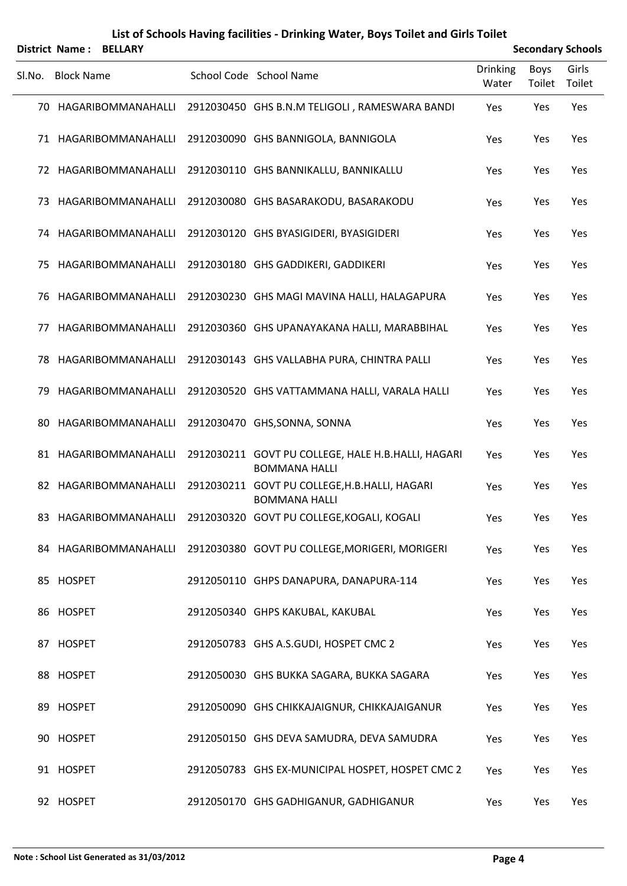|        | <b>District Name: BELLARY</b> |                                                                            |                          |                | <b>Secondary Schools</b> |
|--------|-------------------------------|----------------------------------------------------------------------------|--------------------------|----------------|--------------------------|
| SI.No. | <b>Block Name</b>             | School Code School Name                                                    | <b>Drinking</b><br>Water | Boys<br>Toilet | Girls<br>Toilet          |
|        | 70 HAGARIBOMMANAHALLI         | 2912030450 GHS B.N.M TELIGOLI, RAMESWARA BANDI                             | Yes                      | Yes            | Yes                      |
|        | 71 HAGARIBOMMANAHALLI         | 2912030090 GHS BANNIGOLA, BANNIGOLA                                        | Yes                      | Yes            | Yes                      |
|        | 72 HAGARIBOMMANAHALLI         | 2912030110 GHS BANNIKALLU, BANNIKALLU                                      | Yes                      | Yes            | Yes                      |
| 73     | HAGARIBOMMANAHALLI            | 2912030080 GHS BASARAKODU, BASARAKODU                                      | Yes                      | Yes            | Yes                      |
|        | 74 HAGARIBOMMANAHALLI         | 2912030120 GHS BYASIGIDERI, BYASIGIDERI                                    | Yes                      | Yes            | Yes                      |
| 75     | HAGARIBOMMANAHALLI            | 2912030180 GHS GADDIKERI, GADDIKERI                                        | Yes                      | Yes            | Yes                      |
| 76     | HAGARIBOMMANAHALLI            | 2912030230 GHS MAGI MAVINA HALLI, HALAGAPURA                               | Yes                      | Yes            | Yes                      |
| 77     | HAGARIBOMMANAHALLI            | 2912030360 GHS UPANAYAKANA HALLI, MARABBIHAL                               | Yes                      | Yes            | Yes                      |
| 78     | HAGARIBOMMANAHALLI            | 2912030143 GHS VALLABHA PURA, CHINTRA PALLI                                | Yes                      | Yes            | Yes                      |
| 79     | HAGARIBOMMANAHALLI            | 2912030520 GHS VATTAMMANA HALLI, VARALA HALLI                              | Yes                      | Yes            | Yes                      |
| 80     | HAGARIBOMMANAHALLI            | 2912030470 GHS, SONNA, SONNA                                               | Yes                      | Yes            | Yes                      |
|        | 81 HAGARIBOMMANAHALLI         | 2912030211 GOVT PU COLLEGE, HALE H.B.HALLI, HAGARI<br><b>BOMMANA HALLI</b> | Yes                      | Yes            | Yes                      |
|        | 82 HAGARIBOMMANAHALLI         | 2912030211 GOVT PU COLLEGE, H.B. HALLI, HAGARI<br><b>BOMMANA HALLI</b>     | Yes                      | Yes            | Yes                      |
|        |                               | 83 HAGARIBOMMANAHALLI 2912030320 GOVT PU COLLEGE, KOGALI, KOGALI           | Yes                      | Yes            | Yes                      |
|        | 84 HAGARIBOMMANAHALLI         | 2912030380 GOVT PU COLLEGE, MORIGERI, MORIGERI                             | Yes                      | Yes            | Yes                      |
|        | 85 HOSPET                     | 2912050110 GHPS DANAPURA, DANAPURA-114                                     | Yes                      | Yes            | Yes                      |
|        | 86 HOSPET                     | 2912050340 GHPS KAKUBAL, KAKUBAL                                           | Yes                      | Yes            | Yes                      |
|        | 87 HOSPET                     | 2912050783 GHS A.S.GUDI, HOSPET CMC 2                                      | Yes                      | Yes            | Yes                      |
|        | 88 HOSPET                     | 2912050030 GHS BUKKA SAGARA, BUKKA SAGARA                                  | Yes                      | Yes            | Yes                      |
|        | 89 HOSPET                     | 2912050090 GHS CHIKKAJAIGNUR, CHIKKAJAIGANUR                               | Yes                      | Yes            | Yes                      |
|        | 90 HOSPET                     | 2912050150 GHS DEVA SAMUDRA, DEVA SAMUDRA                                  | Yes                      | Yes            | Yes                      |
|        | 91 HOSPET                     | 2912050783 GHS EX-MUNICIPAL HOSPET, HOSPET CMC 2                           | Yes                      | Yes            | Yes                      |
|        | 92 HOSPET                     | 2912050170 GHS GADHIGANUR, GADHIGANUR                                      | Yes                      | Yes            | Yes                      |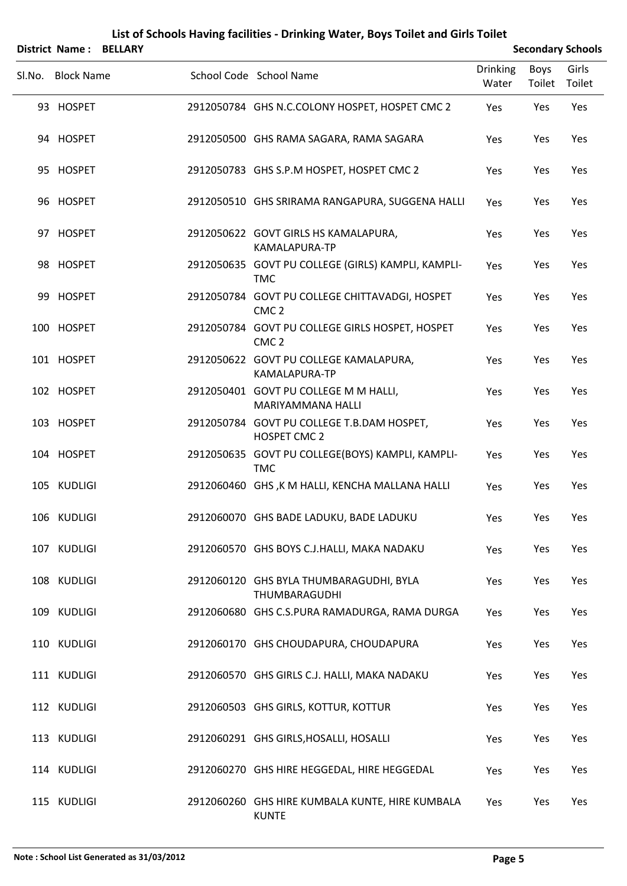|        |                   | District Name: BELLARY |                                                                     |                          | <b>Secondary Schools</b> |                 |
|--------|-------------------|------------------------|---------------------------------------------------------------------|--------------------------|--------------------------|-----------------|
| Sl.No. | <b>Block Name</b> |                        | School Code School Name                                             | <b>Drinking</b><br>Water | <b>Boys</b><br>Toilet    | Girls<br>Toilet |
|        | 93 HOSPET         |                        | 2912050784 GHS N.C.COLONY HOSPET, HOSPET CMC 2                      | Yes                      | Yes                      | Yes             |
|        | 94 HOSPET         |                        | 2912050500 GHS RAMA SAGARA, RAMA SAGARA                             | Yes                      | Yes                      | Yes             |
|        | 95 HOSPET         |                        | 2912050783 GHS S.P.M HOSPET, HOSPET CMC 2                           | Yes                      | Yes                      | Yes             |
|        | 96 HOSPET         |                        | 2912050510 GHS SRIRAMA RANGAPURA, SUGGENA HALLI                     | Yes                      | Yes                      | Yes             |
|        | 97 HOSPET         |                        | 2912050622 GOVT GIRLS HS KAMALAPURA,<br>KAMALAPURA-TP               | Yes                      | Yes                      | Yes             |
|        | 98 HOSPET         |                        | 2912050635 GOVT PU COLLEGE (GIRLS) KAMPLI, KAMPLI-<br>TMC           | Yes                      | Yes                      | Yes             |
|        | 99 HOSPET         |                        | 2912050784 GOVT PU COLLEGE CHITTAVADGI, HOSPET<br>CMC <sub>2</sub>  | Yes                      | Yes                      | Yes             |
|        | 100 HOSPET        |                        | 2912050784 GOVT PU COLLEGE GIRLS HOSPET, HOSPET<br>CMC <sub>2</sub> | Yes                      | Yes                      | Yes             |
|        | 101 HOSPET        |                        | 2912050622 GOVT PU COLLEGE KAMALAPURA,<br>KAMALAPURA-TP             | Yes                      | Yes                      | Yes             |
|        | 102 HOSPET        |                        | 2912050401 GOVT PU COLLEGE M M HALLI,<br>MARIYAMMANA HALLI          | Yes                      | Yes                      | Yes             |
|        | 103 HOSPET        |                        | 2912050784 GOVT PU COLLEGE T.B.DAM HOSPET,<br>HOSPET CMC 2          | Yes                      | Yes                      | Yes             |
|        | 104 HOSPET        |                        | 2912050635 GOVT PU COLLEGE(BOYS) KAMPLI, KAMPLI-<br><b>TMC</b>      | Yes                      | Yes                      | Yes             |
|        | 105 KUDLIGI       |                        | 2912060460 GHS, K M HALLI, KENCHA MALLANA HALLI                     | Yes                      | Yes                      | Yes             |
|        | 106 KUDLIGI       |                        | 2912060070 GHS BADE LADUKU, BADE LADUKU                             | Yes                      | Yes                      | Yes             |
|        | 107 KUDLIGI       |                        | 2912060570 GHS BOYS C.J.HALLI, MAKA NADAKU                          | Yes                      | Yes                      | Yes             |
|        | 108 KUDLIGI       |                        | 2912060120 GHS BYLA THUMBARAGUDHI, BYLA<br>THUMBARAGUDHI            | Yes                      | Yes                      | Yes             |
|        | 109 KUDLIGI       |                        | 2912060680 GHS C.S.PURA RAMADURGA, RAMA DURGA                       | Yes                      | Yes                      | Yes             |
|        | 110 KUDLIGI       |                        | 2912060170 GHS CHOUDAPURA, CHOUDAPURA                               | Yes                      | Yes                      | Yes             |
|        | 111 KUDLIGI       |                        | 2912060570 GHS GIRLS C.J. HALLI, MAKA NADAKU                        | Yes                      | Yes                      | Yes             |
|        | 112 KUDLIGI       |                        | 2912060503 GHS GIRLS, KOTTUR, KOTTUR                                | Yes                      | Yes                      | Yes             |
|        | 113 KUDLIGI       |                        | 2912060291 GHS GIRLS, HOSALLI, HOSALLI                              | Yes                      | Yes                      | Yes             |
|        | 114 KUDLIGI       |                        | 2912060270 GHS HIRE HEGGEDAL, HIRE HEGGEDAL                         | Yes                      | Yes                      | Yes             |
|        | 115 KUDLIGI       |                        | 2912060260 GHS HIRE KUMBALA KUNTE, HIRE KUMBALA                     | Yes                      | Yes                      | Yes             |

KUNTE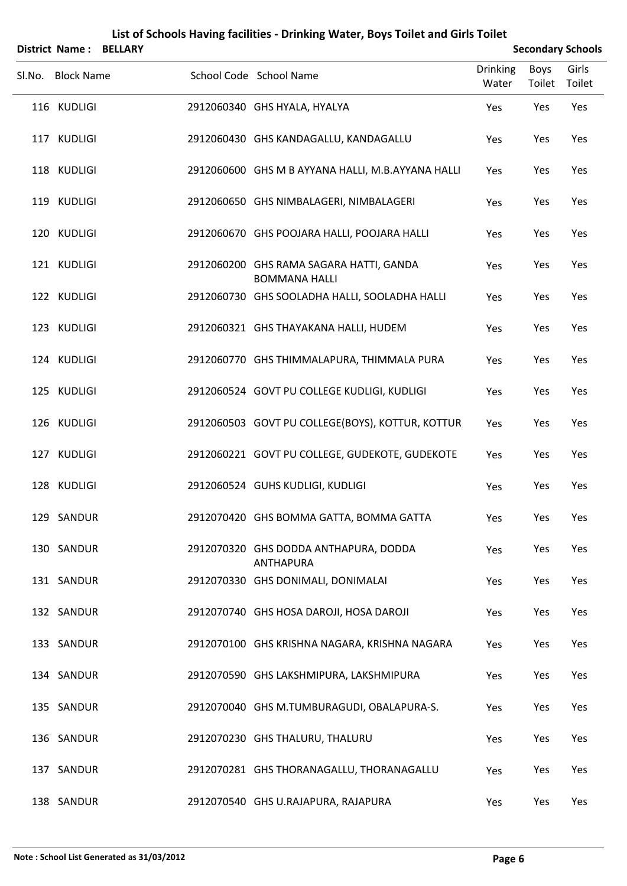|        | <b>District Name:</b> | <b>BELLARY</b> |                                                                 | <b>Secondary Schools</b> |                       |                 |
|--------|-----------------------|----------------|-----------------------------------------------------------------|--------------------------|-----------------------|-----------------|
| Sl.No. | <b>Block Name</b>     |                | School Code School Name                                         | <b>Drinking</b><br>Water | <b>Boys</b><br>Toilet | Girls<br>Toilet |
|        | 116 KUDLIGI           |                | 2912060340 GHS HYALA, HYALYA                                    | Yes                      | Yes                   | Yes             |
|        | 117 KUDLIGI           |                | 2912060430 GHS KANDAGALLU, KANDAGALLU                           | Yes                      | Yes                   | Yes             |
|        | 118 KUDLIGI           |                | 2912060600 GHS M B AYYANA HALLI, M.B.AYYANA HALLI               | Yes                      | Yes                   | Yes             |
|        | 119 KUDLIGI           |                | 2912060650 GHS NIMBALAGERI, NIMBALAGERI                         | Yes                      | Yes                   | Yes             |
|        | 120 KUDLIGI           |                | 2912060670 GHS POOJARA HALLI, POOJARA HALLI                     | Yes                      | Yes                   | Yes             |
|        | 121 KUDLIGI           |                | 2912060200 GHS RAMA SAGARA HATTI, GANDA<br><b>BOMMANA HALLI</b> | Yes                      | Yes                   | Yes             |
|        | 122 KUDLIGI           |                | 2912060730 GHS SOOLADHA HALLI, SOOLADHA HALLI                   | Yes                      | Yes                   | Yes             |
|        | 123 KUDLIGI           |                | 2912060321 GHS THAYAKANA HALLI, HUDEM                           | Yes                      | Yes                   | Yes             |
|        | 124 KUDLIGI           |                | 2912060770 GHS THIMMALAPURA, THIMMALA PURA                      | Yes                      | Yes                   | Yes             |
|        | 125 KUDLIGI           |                | 2912060524 GOVT PU COLLEGE KUDLIGI, KUDLIGI                     | Yes                      | Yes                   | Yes             |
|        | 126 KUDLIGI           |                | 2912060503 GOVT PU COLLEGE(BOYS), KOTTUR, KOTTUR                | Yes                      | Yes                   | Yes             |
|        | 127 KUDLIGI           |                | 2912060221 GOVT PU COLLEGE, GUDEKOTE, GUDEKOTE                  | Yes                      | Yes                   | Yes             |
|        | 128 KUDLIGI           |                | 2912060524 GUHS KUDLIGI, KUDLIGI                                | Yes                      | Yes                   | Yes             |
|        | 129 SANDUR            |                | 2912070420 GHS BOMMA GATTA, BOMMA GATTA                         | Yes                      | Yes                   | Yes             |
|        | 130 SANDUR            |                | 2912070320 GHS DODDA ANTHAPURA, DODDA<br><b>ANTHAPURA</b>       | Yes                      | Yes                   | Yes             |
|        | 131 SANDUR            |                | 2912070330 GHS DONIMALI, DONIMALAI                              | Yes                      | Yes                   | Yes             |
|        | 132 SANDUR            |                | 2912070740 GHS HOSA DAROJI, HOSA DAROJI                         | Yes                      | Yes                   | Yes             |
|        | 133 SANDUR            |                | 2912070100 GHS KRISHNA NAGARA, KRISHNA NAGARA                   | Yes                      | Yes                   | Yes             |
|        | 134 SANDUR            |                | 2912070590 GHS LAKSHMIPURA, LAKSHMIPURA                         | Yes                      | Yes                   | Yes             |
|        | 135 SANDUR            |                | 2912070040 GHS M.TUMBURAGUDI, OBALAPURA-S.                      | Yes                      | Yes                   | Yes             |
|        | 136 SANDUR            |                | 2912070230 GHS THALURU, THALURU                                 | Yes                      | Yes                   | Yes             |
|        | 137 SANDUR            |                | 2912070281 GHS THORANAGALLU, THORANAGALLU                       | Yes                      | Yes                   | Yes             |
|        | 138 SANDUR            |                | 2912070540 GHS U.RAJAPURA, RAJAPURA                             | Yes                      | Yes                   | Yes             |